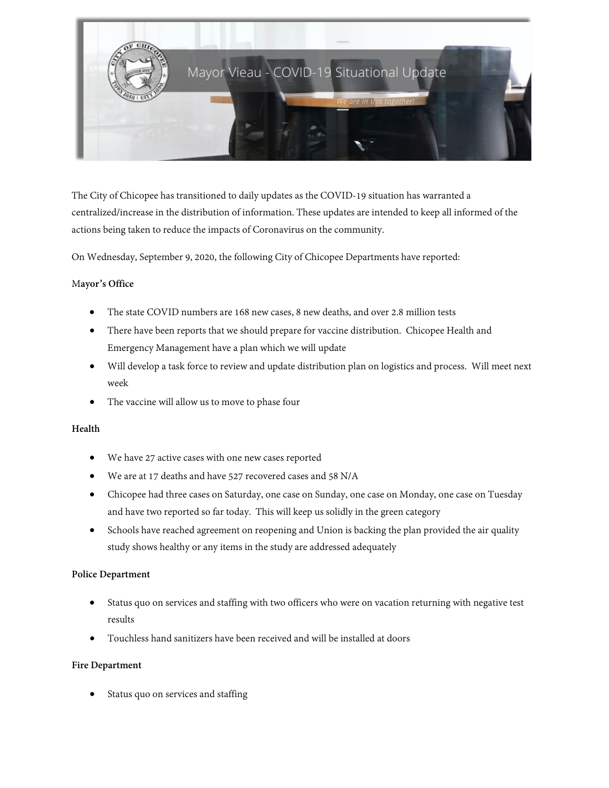

The City of Chicopee has transitioned to daily updates as the COVID-19 situation has warranted a centralized/increase in the distribution of information. These updates are intended to keep all informed of the actions being taken to reduce the impacts of Coronavirus on the community.

On Wednesday, September 9, 2020, the following City of Chicopee Departments have reported:

### M**ayor's Office**

- The state COVID numbers are 168 new cases, 8 new deaths, and over 2.8 million tests
- There have been reports that we should prepare for vaccine distribution. Chicopee Health and Emergency Management have a plan which we will update
- Will develop a task force to review and update distribution plan on logistics and process. Will meet next week
- The vaccine will allow us to move to phase four

### **Health**

- We have 27 active cases with one new cases reported
- We are at 17 deaths and have 527 recovered cases and 58 N/A
- Chicopee had three cases on Saturday, one case on Sunday, one case on Monday, one case on Tuesday and have two reported so far today. This will keep us solidly in the green category
- Schools have reached agreement on reopening and Union is backing the plan provided the air quality study shows healthy or any items in the study are addressed adequately

### **Police Department**

- Status quo on services and staffing with two officers who were on vacation returning with negative test results
- Touchless hand sanitizers have been received and will be installed at doors

### **Fire Department**

Status quo on services and staffing